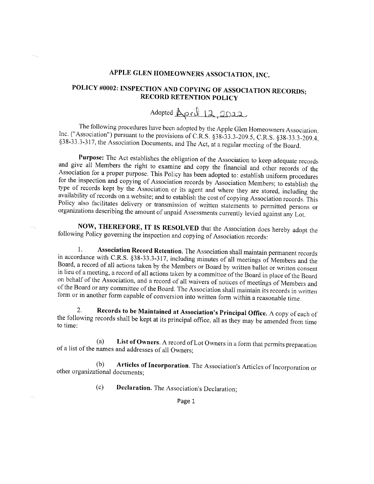## APPLE GLEN HOMEOWNERS ASSOCIATION, INC.

## POLICY #0002: INSPECTION AND COPYING OF ASSOCIATION RECORDS; **RECORD RETENTION POLICY**

## Adopted <u>April 12, 2022</u>

The following procedures have been adopted by the Apple Glen Homeowners Association. Inc. ("Association") pursuant to the provisions of C.R.S. §38-33.3-209.5, C.R.S. §38-33.3-209.4, §38-33.3-317, the Association Documents, and The Act, at a regular meeting of the Board.

Purpose: The Act establishes the obligation of the Association to keep adequate records and give all Members the right to examine and copy the financial and other records of the Association for a proper purpose. This Policy has been adopted to: establish uniform procedures for the inspection and copying of Association records by Association Members; to establish the type of records kept by the Association or its agent and where they are stored, including the availability of records on a website; and to establish the cost of copying Association records. This Policy also facilitates delivery or transmission of written statements to permitted persons or organizations describing the amount of unpaid Assessments currently levied against any Lot.

NOW, THEREFORE, IT IS RESOLVED that the Association does hereby adopt the following Policy governing the inspection and copying of Association records:

Association Record Retention. The Association shall maintain permanent records 1. in accordance with C.R.S. §38-33.3-317, including minutes of all meetings of Members and the Board, a record of all actions taken by the Members or Board by written ballot or written consent in lieu of a meeting, a record of all actions taken by a committee of the Board in place of the Board on behalf of the Association, and a record of all waivers of notices of meetings of Members and of the Board or any committee of the Board. The Association shall maintain its records in written form or in another form capable of conversion into written form within a reasonable time.

Records to be Maintained at Association's Principal Office. A copy of each of 2. the following records shall be kept at its principal office, all as they may be amended from time to time:

List of Owners. A record of Lot Owners in a form that permits preparation  $(a)$ of a list of the names and addresses of all Owners;

Articles of Incorporation. The Association's Articles of Incorporation or  $(b)$ other organizational documents;

> Declaration. The Association's Declaration;  $(c)$

> > Page 1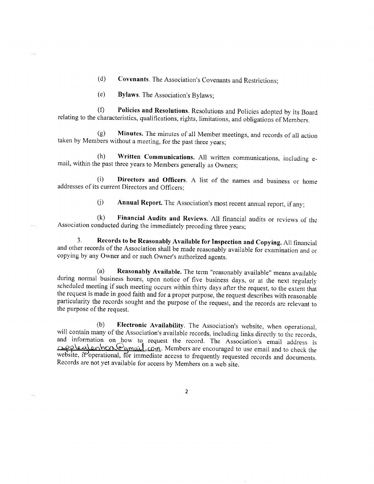- (d) Covenants. The Association's Covenants and Restrictions;
- (e) Bylaws. The Association's Eylaws;

(f) Policies and Resolutions. Resolutions and Policies adopted by its Board relating to the characteristics, qualifications, rights, limitations, and obligations of Members.

(g) Minutes. The minutes of all Member meetings, and records of all action taken by Members without a meeting, for the past three years;

 $(h)$  Written Communications. All written communications, including  $e$ mail, within the past three years to Members generally as Owners;

(i) Directors and Officers. A list of the names and business or home addresses of its current Directors and Officers:

 $(i)$  Annual Report. The Association's most recent annual report, if any;

(k) Financial Audits and Reviews. All financial audits or reviews of theAssociation conducted during the immediately preceding three years;

3. Records to be Reasonably Available for Inspection and Copying. All financial and other records of the Association shall be made reasonably available for examination and or copying by any Owner and or such Owner's authorized agents.

(a) Reasonably Available. The term "reasonably available" means available during normal business hours, upon notice of five business days, or at the next regularly scheduled meeting if such meeting occurs within thirty days after the request, to the extent that the request is made in good faith and for a proper purpose, the request describes with reasonable particularity the records sought and the purpose of the request, and the records are relevant to the purpose of the request.

(b) **Electronic Availability**. The Association's website, when operational, will contain many of the Association's available records, including links directly to the records, and information on how to request the record. T Records are not yet available for access by Members on a web site.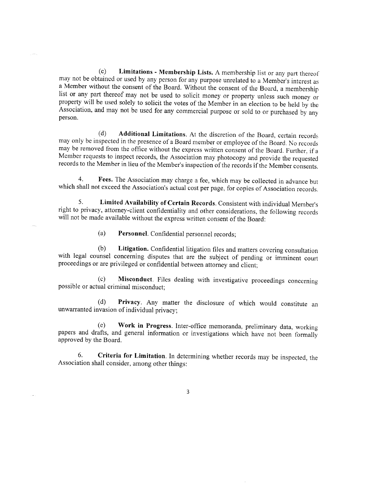$(c)$  Limitations - Membership Lists. A membership list or any part thereof. may not be obtained or used by any person for any purpose unrelated to a Member's interest as a Member without the consent of the Board. Without the consent of the Board, a membership list or any part thereof may not be used to solicit money or property unless such money or property will be used solely to solicit the votes of the Member in an election to be held by the Association, and may not be used for any commercial purpose or sold to or purchased by any person.

(d) Additional Limitations. At the discretion of the Board, certain records may only be inspected in the presence of a Board member or employee of the Board. No records may be removed from the office without the express written consent of the Board. Further, if a Mernber requests to inspect records, the Association may photocopy and provide the requested records to the Member in lieu of the Member's insprection of the records if ihe Member consents.

4. Fees. The Association may charge a fee, which may be collected in advance but which shall not exceed the Association's actual cost per page, for copies of Association records.

5. Limited Availability of Certain Records. Consistent with individual Member's right to privacy, attorney-client confidentiality and other considerations, the following records will not be made available without the express written consent of the Board:

(a) Personnel. Confidential personnel records;

(b) Litigation. Confidential litigation files and matters covering consultation with legal counsel concerning disputes that are the subject of pending or imminent court proceedings or are privileged or confidential between attorney and client;

(c) Misconduct. Files dealing with investigative proceedings concerning possible or actual criminal misconduct;

(d) Privacy. Any matter the disclosure of which would consritute an unwarranted invasion of individual privacy;

(e) Work in Progress. Inter-office memoranda, preliminary data, working papers and drafts, and general information or investigations which have not been formally approved by the Board.

6. Criteria for Limitation. In determining whether records may be inspected, the Association shall consider, among other things: